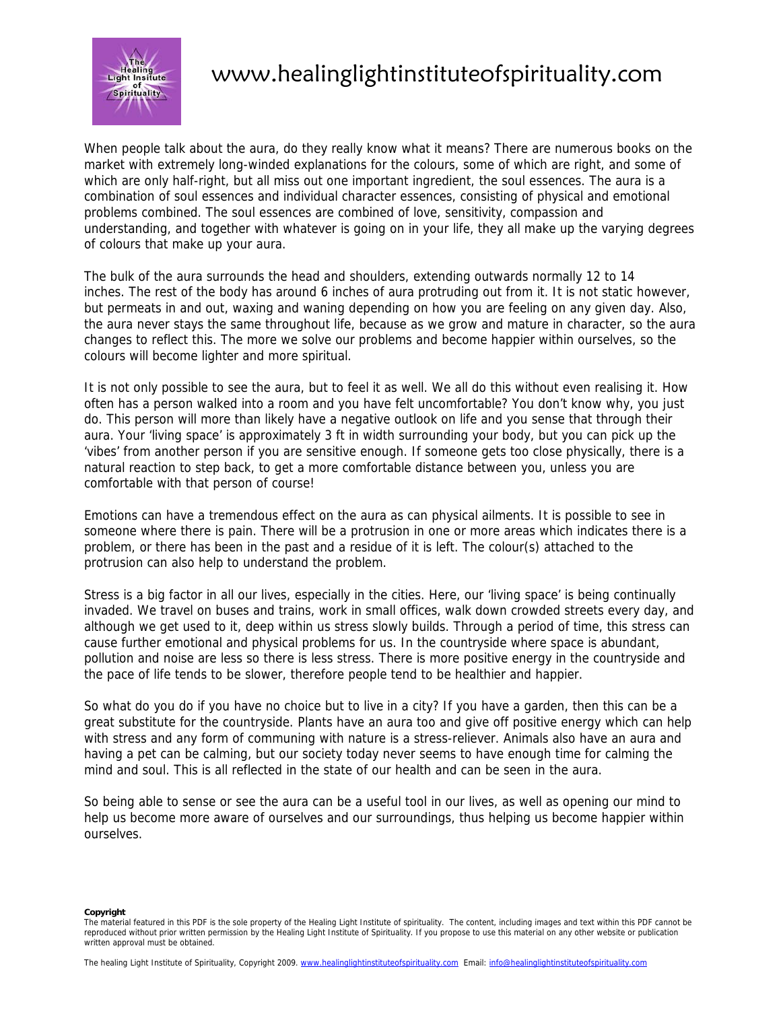

# www.healinglightinstituteofspirituality.com

When people talk about the aura, do they really know what it means? There are numerous books on the market with extremely long-winded explanations for the colours, some of which are right, and some of which are only half-right, but all miss out one important ingredient, the soul essences. The aura is a combination of soul essences and individual character essences, consisting of physical and emotional problems combined. The soul essences are combined of love, sensitivity, compassion and understanding, and together with whatever is going on in your life, they all make up the varying degrees of colours that make up your aura.

The bulk of the aura surrounds the head and shoulders, extending outwards normally 12 to 14 inches. The rest of the body has around 6 inches of aura protruding out from it. It is not static however, but permeats in and out, waxing and waning depending on how you are feeling on any given day. Also, the aura never stays the same throughout life, because as we grow and mature in character, so the aura changes to reflect this. The more we solve our problems and become happier within ourselves, so the colours will become lighter and more spiritual.

It is not only possible to see the aura, but to feel it as well. We all do this without even realising it. How often has a person walked into a room and you have felt uncomfortable? You don't know why, you just do. This person will more than likely have a negative outlook on life and you sense that through their aura. Your 'living space' is approximately 3 ft in width surrounding your body, but you can pick up the 'vibes' from another person if you are sensitive enough. If someone gets too close physically, there is a natural reaction to step back, to get a more comfortable distance between you, unless you are comfortable with that person of course!

Emotions can have a tremendous effect on the aura as can physical ailments. It is possible to see in someone where there is pain. There will be a protrusion in one or more areas which indicates there is a problem, or there has been in the past and a residue of it is left. The colour(s) attached to the protrusion can also help to understand the problem.

Stress is a big factor in all our lives, especially in the cities. Here, our 'living space' is being continually invaded. We travel on buses and trains, work in small offices, walk down crowded streets every day, and although we get used to it, deep within us stress slowly builds. Through a period of time, this stress can cause further emotional and physical problems for us. In the countryside where space is abundant, pollution and noise are less so there is less stress. There is more positive energy in the countryside and the pace of life tends to be slower, therefore people tend to be healthier and happier.

So what do you do if you have no choice but to live in a city? If you have a garden, then this can be a great substitute for the countryside. Plants have an aura too and give off positive energy which can help with stress and any form of communing with nature is a stress-reliever. Animals also have an aura and having a pet can be calming, but our society today never seems to have enough time for calming the mind and soul. This is all reflected in the state of our health and can be seen in the aura.

So being able to sense or see the aura can be a useful tool in our lives, as well as opening our mind to help us become more aware of ourselves and our surroundings, thus helping us become happier within ourselves.

**Copyright** 

The material featured in this PDF is the sole property of the Healing Light Institute of spirituality. The content, including images and text within this PDF cannot be reproduced without prior written permission by the Healing Light Institute of Spirituality. If you propose to use this material on any other website or publication written approval must be obtained.